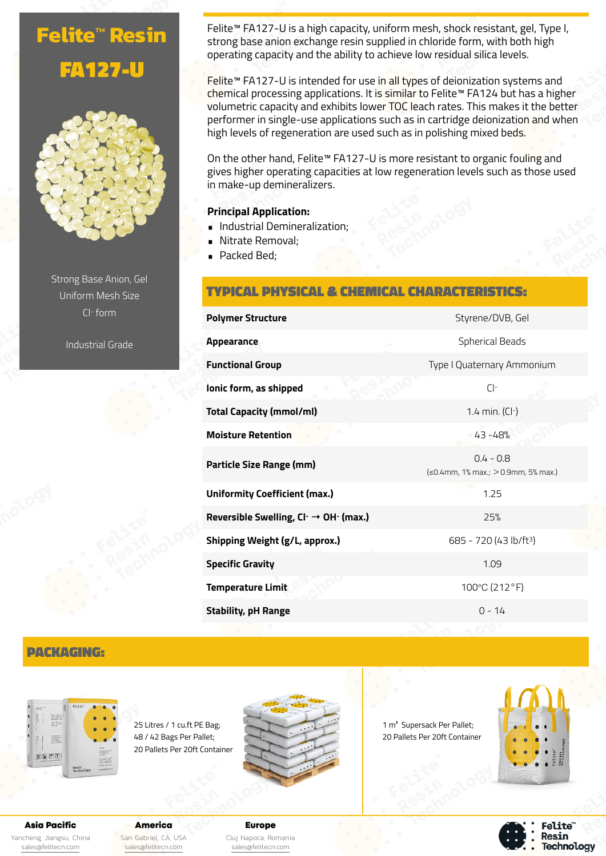# **Felite™ Resin** FA127-U



Strong Base Anion, Gel Uniform Mesh Size Cl- form

Industrial Grade

Felite<sup>™</sup> FA127-U is a high capacity, uniform mesh, shock resistant, gel, Type I, strong base anion exchange resin supplied in chloride form, with both high operating capacity and the ability to achieve low residual silica levels.

Felite™ FA127-U is intended for use in all types of deionization systems and chemical processing applications. It is similar to Felite™ FA124 but has a higher volumetric capacity and exhibits lower TOC leach rates. This makes it the better performer in single-use applications such as in cartridge deionization and when high levels of regeneration are used such as in polishing mixed beds.

On the other hand, Felite™ FA127-U is more resistant to organic fouling and gives higher operating capacities at low regeneration levels such as those used in make-up demineralizers.

### **Principal Application:**

- Industrial Demineralization;
- Nitrate Removal;
- **Packed Bed;**

# TYPICAL PHYSICAL & CHEMICAL CHARACTERISTICS:

| <b>Polymer Structure</b>                            | Styrene/DVB, Gel                                            |
|-----------------------------------------------------|-------------------------------------------------------------|
| Appearance                                          | <b>Spherical Beads</b>                                      |
| <b>Functional Group</b>                             | Type I Quaternary Ammonium                                  |
| lonic form, as shipped                              | $Cl^-$                                                      |
| Total Capacity (mmol/ml)                            | 1.4 min. $(Cl-)$                                            |
| <b>Moisture Retention</b>                           | $-43 - 48%$                                                 |
| Particle Size Range (mm)                            | $0.4 - 0.8$<br>$\leq 0.4$ mm, 1% max.; $> 0.9$ mm, 5% max.) |
| <b>Uniformity Coefficient (max.)</b>                | 1.25                                                        |
| Reversible Swelling, $Cl^- \rightarrow OH^-$ (max.) | 25%                                                         |
| Shipping Weight (g/L, approx.)                      | 685 - 720 (43 lb/ft <sup>3</sup> )                          |
| <b>Specific Gravity</b>                             | 1.09                                                        |
| <b>Temperature Limit</b>                            | 100°C (212°F)                                               |
| <b>Stability, pH Range</b>                          | $0 - 14$                                                    |

# PACKAGING:



25 Litres / 1 cu.ft PE Bag; 48 / 42 Bags Per Pallet; 20 Pallets Per 20ft Container



1 m<sup>3</sup> Supersack Per Pallet; 20 Pallets Per 20ft Container



**Felite**" Resin **Technology** 

## Asia Pacific

Yancheng, Jiangsu, China [sales@felitecn.com](mailto:sales@felitecn.com)

#### America San Gabriel, CA, USA [sales@felitecn.com](mailto:sales@felitecn.com)

Europe Cluj Napoca, Romania [sales@felitecn.com](mailto:sales@felitecn.com)